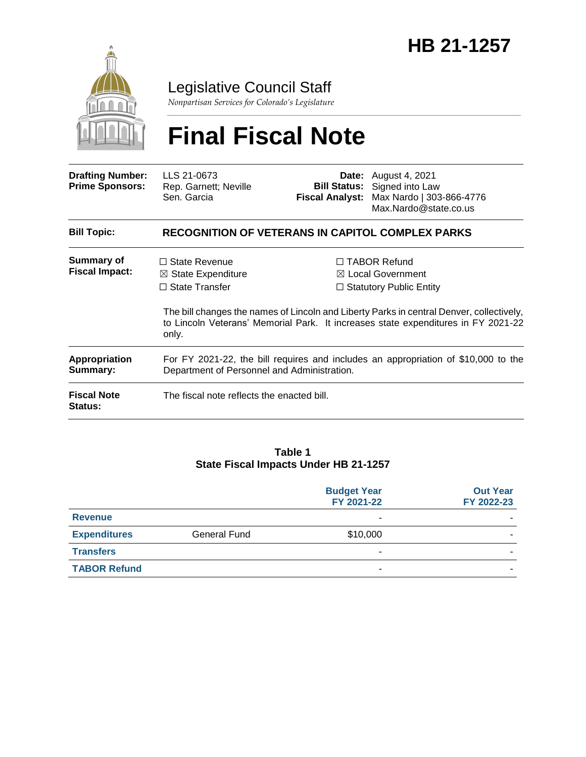

## Legislative Council Staff

*Nonpartisan Services for Colorado's Legislature*

# **Final Fiscal Note**

| <b>Drafting Number:</b><br><b>Prime Sponsors:</b> | LLS 21-0673<br>Rep. Garnett; Neville<br>Sen. Garcia                                                                               |  | <b>Date:</b> August 4, 2021<br><b>Bill Status:</b> Signed into Law<br>Fiscal Analyst: Max Nardo   303-866-4776<br>Max.Nardo@state.co.us                                                                                                                                |  |
|---------------------------------------------------|-----------------------------------------------------------------------------------------------------------------------------------|--|------------------------------------------------------------------------------------------------------------------------------------------------------------------------------------------------------------------------------------------------------------------------|--|
| <b>Bill Topic:</b>                                | <b>RECOGNITION OF VETERANS IN CAPITOL COMPLEX PARKS</b>                                                                           |  |                                                                                                                                                                                                                                                                        |  |
| Summary of<br><b>Fiscal Impact:</b>               | $\Box$ State Revenue<br>$\boxtimes$ State Expenditure<br>$\Box$ State Transfer<br>only.                                           |  | $\Box$ TABOR Refund<br>$\boxtimes$ Local Government<br>$\Box$ Statutory Public Entity<br>The bill changes the names of Lincoln and Liberty Parks in central Denver, collectively,<br>to Lincoln Veterans' Memorial Park. It increases state expenditures in FY 2021-22 |  |
| <b>Appropriation</b><br>Summary:                  | For FY 2021-22, the bill requires and includes an appropriation of \$10,000 to the<br>Department of Personnel and Administration. |  |                                                                                                                                                                                                                                                                        |  |
| <b>Fiscal Note</b><br><b>Status:</b>              | The fiscal note reflects the enacted bill.                                                                                        |  |                                                                                                                                                                                                                                                                        |  |

#### **Table 1 State Fiscal Impacts Under HB 21-1257**

|                     |              | <b>Budget Year</b><br>FY 2021-22 | <b>Out Year</b><br>FY 2022-23 |
|---------------------|--------------|----------------------------------|-------------------------------|
| <b>Revenue</b>      |              | -                                |                               |
| <b>Expenditures</b> | General Fund | \$10,000                         |                               |
| <b>Transfers</b>    |              | ۰                                |                               |
| <b>TABOR Refund</b> |              |                                  |                               |